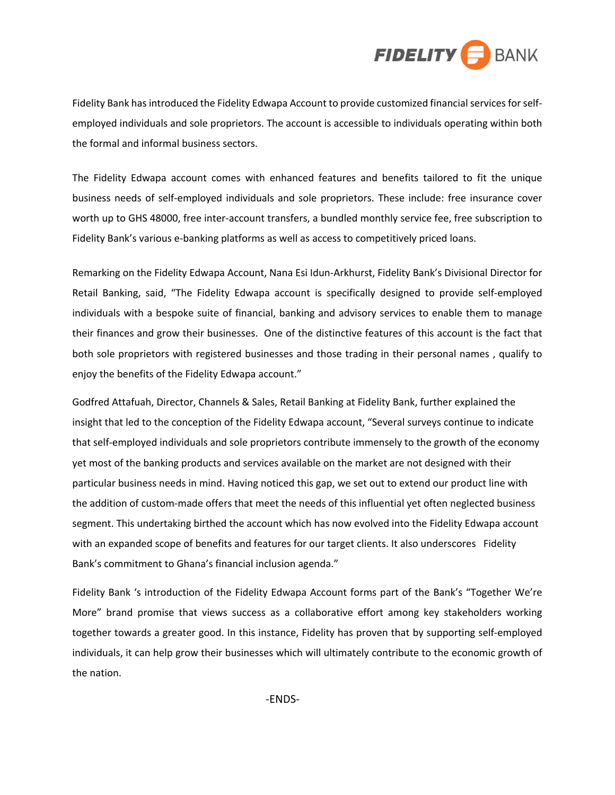

Fidelity Bank has introduced the Fidelity Edwapa Account to provide customized financial services forselfemployed individuals and sole proprietors. The account is accessible to individuals operating within both the formal and informal business sectors.

The Fidelity Edwapa account comes with enhanced features and benefits tailored to fit the unique business needs of self-employed individuals and sole proprietors. These include: free insurance cover worth up to GHS 48000, free inter-account transfers, a bundled monthly service fee, free subscription to Fidelity Bank's various e-banking platforms as well as access to competitively priced loans.

Remarking on the Fidelity Edwapa Account, Nana Esi Idun-Arkhurst, Fidelity Bank's Divisional Director for Retail Banking, said, "The Fidelity Edwapa account is specifically designed to provide self-employed individuals with a bespoke suite of financial, banking and advisory services to enable them to manage their finances and grow their businesses. One of the distinctive features of this account is the fact that both sole proprietors with registered businesses and those trading in their personal names , qualify to enjoy the benefits of the Fidelity Edwapa account."

Godfred Attafuah, Director, Channels & Sales, Retail Banking at Fidelity Bank, further explained the insight that led to the conception of the Fidelity Edwapa account, "Several surveys continue to indicate that self-employed individuals and sole proprietors contribute immensely to the growth of the economy yet most of the banking products and services available on the market are not designed with their particular business needs in mind. Having noticed this gap, we set out to extend our product line with the addition of custom-made offers that meet the needs of this influential yet often neglected business segment. This undertaking birthed the account which has now evolved into the Fidelity Edwapa account with an expanded scope of benefits and features for our target clients. It also underscores Fidelity Bank's commitment to Ghana's financial inclusion agenda."

Fidelity Bank 's introduction of the Fidelity Edwapa Account forms part of the Bank's "Together We're More" brand promise that views success as a collaborative effort among key stakeholders working together towards a greater good. In this instance, Fidelity has proven that by supporting self-employed individuals, it can help grow their businesses which will ultimately contribute to the economic growth of the nation.

-ENDS-